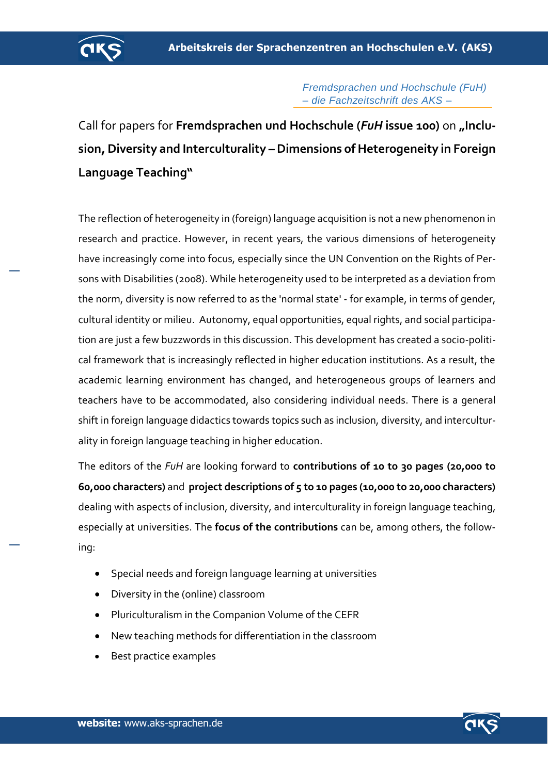

*Fremdsprachen und Hochschule (FuH) – die Fachzeitschrift des AKS –*

Call for papers for **Fremdsprachen und Hochschule (***FuH* **issue 100)** on **"Inclusion, Diversity and Interculturality –Dimensions of Heterogeneity in Foreign Language Teaching"**

The reflection of heterogeneity in (foreign) language acquisition is not a new phenomenon in research and practice. However, in recent years, the various dimensions of heterogeneity have increasingly come into focus, especially since the UN Convention on the Rights of Persons with Disabilities (2008). While heterogeneity used to be interpreted as a deviation from the norm, diversity is now referred to as the 'normal state' - for example, in terms of gender, cultural identity or milieu. Autonomy, equal opportunities, equal rights, and social participation are just a few buzzwords in this discussion. This development has created a socio-political framework that is increasingly reflected in higher education institutions. As a result, the academic learning environment has changed, and heterogeneous groups of learners and teachers have to be accommodated, also considering individual needs. There is a general shift in foreign language didactics towards topics such as inclusion, diversity, and interculturality in foreign language teaching in higher education.

The editors of the *FuH* are looking forward to **contributions of 10 to 30 pages (20,000 to 60,000 characters)** and **project descriptions of 5 to 10 pages (10,000 to 20,000 characters)** dealing with aspects of inclusion, diversity, and interculturality in foreign language teaching, especially at universities. The **focus of the contributions** can be, among others, the following:

- Special needs and foreign language learning at universities
- Diversity in the (online) classroom
- Pluriculturalism in the Companion Volume of the CEFR
- New teaching methods for differentiation in the classroom
- Best practice examples